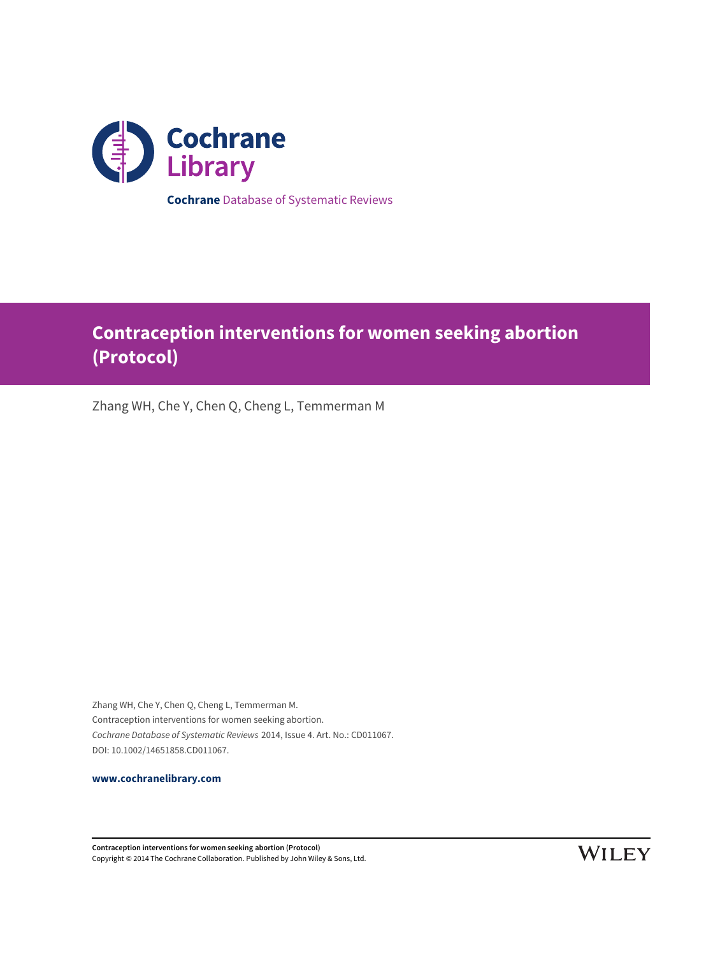

**Contraception interventions for women seeking abortion (Protocol)**

Zhang WH, Che Y, Chen Q, Cheng L, Temmerman M

Zhang WH, Che Y, Chen Q, Cheng L, Temmerman M. Contraception interventions for women seeking abortion. Cochrane Database of Systematic Reviews 2014, Issue 4. Art. No.: CD011067. DOI: 10.1002/14651858.CD011067.

**[www.cochranelibrary.com](http://www.cochranelibrary.com)**

**Contraception interventions for women seeking abortion (Protocol)** Copyright © 2014 The Cochrane Collaboration. Published by John Wiley & Sons, Ltd.

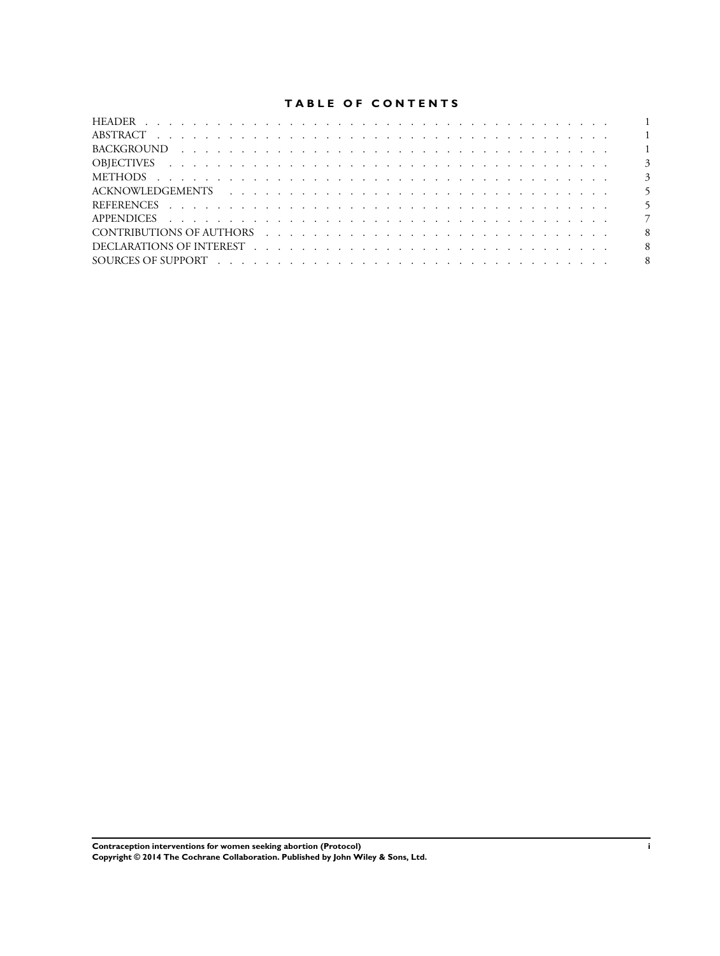# **TABLE OF CONTENTS**

| $\overline{\phantom{0}}$ 8 |  |
|----------------------------|--|
|                            |  |
|                            |  |
|                            |  |

**Contraception interventions for women seeking abortion (Protocol) i Copyright © 2014 The Cochrane Collaboration. Published by John Wiley & Sons, Ltd.**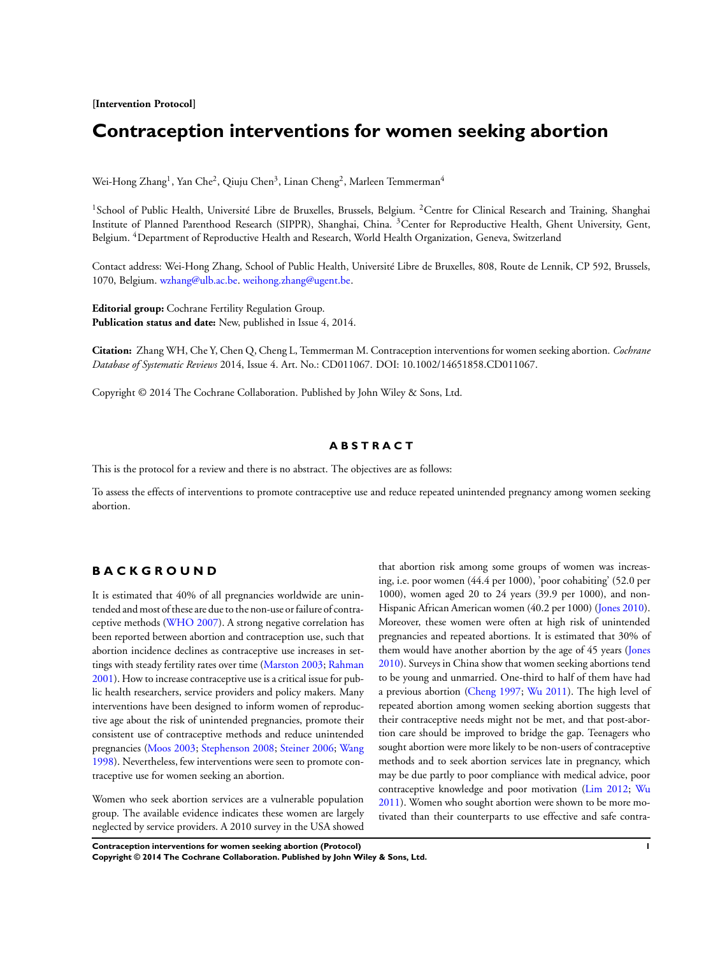<span id="page-2-0"></span>**[Intervention Protocol]**

# **Contraception interventions for women seeking abortion**

Wei-Hong Zhang $^1$ , Yan Che $^2$ , Qiuju Chen $^3$ , Linan Cheng $^2$ , Marleen Temmerman $^4$ 

<sup>1</sup>School of Public Health, Université Libre de Bruxelles, Brussels, Belgium. <sup>2</sup>Centre for Clinical Research and Training, Shanghai Institute of Planned Parenthood Research (SIPPR), Shanghai, China. <sup>3</sup>Center for Reproductive Health, Ghent University, Gent, Belgium. <sup>4</sup>Department of Reproductive Health and Research, World Health Organization, Geneva, Switzerland

Contact address: Wei-Hong Zhang, School of Public Health, Université Libre de Bruxelles, 808, Route de Lennik, CP 592, Brussels, 1070, Belgium. [wzhang@ulb.ac.be.](mailto:wzhang@ulb.ac.be) [weihong.zhang@ugent.be](mailto:weihong.zhang@ugent.be).

**Editorial group:** Cochrane Fertility Regulation Group. **Publication status and date:** New, published in Issue 4, 2014.

**Citation:** Zhang WH, Che Y, Chen Q, Cheng L, Temmerman M. Contraception interventions for women seeking abortion. *Cochrane Database of Systematic Reviews* 2014, Issue 4. Art. No.: CD011067. DOI: 10.1002/14651858.CD011067.

Copyright © 2014 The Cochrane Collaboration. Published by John Wiley & Sons, Ltd.

### **A B S T R A C T**

This is the protocol for a review and there is no abstract. The objectives are as follows:

To assess the effects of interventions to promote contraceptive use and reduce repeated unintended pregnancy among women seeking abortion.

# **B A C K G R O U N D**

It is estimated that 40% of all pregnancies worldwide are unintended and most of these are due to the non-use or failure of contraceptive methods ([WHO 2007\)](#page-6-0). A strong negative correlation has been reported between abortion and contraception use, such that abortion incidence declines as contraceptive use increases in settings with steady fertility rates over time [\(Marston 2003](#page-6-0); [Rahman](#page-6-0) [2001](#page-6-0)). How to increase contraceptive use is a critical issue for public health researchers, service providers and policy makers. Many interventions have been designed to inform women of reproductive age about the risk of unintended pregnancies, promote their consistent use of contraceptive methods and reduce unintended pregnancies [\(Moos 2003](#page-6-0); [Stephenson 2008](#page-6-0); [Steiner 2006](#page-6-0); [Wang](#page-6-0) [1998](#page-6-0)). Nevertheless, few interventions were seen to promote contraceptive use for women seeking an abortion.

Women who seek abortion services are a vulnerable population group. The available evidence indicates these women are largely neglected by service providers. A 2010 survey in the USA showed

that abortion risk among some groups of women was increasing, i.e. poor women (44.4 per 1000), 'poor cohabiting' (52.0 per 1000), women aged 20 to 24 years (39.9 per 1000), and non-Hispanic African American women (40.2 per 1000) ([Jones 2010](#page-6-0)). Moreover, these women were often at high risk of unintended pregnancies and repeated abortions. It is estimated that 30% of them would have another abortion by the age of 45 years ([Jones](#page-6-0) [2010](#page-6-0)). Surveys in China show that women seeking abortions tend to be young and unmarried. One-third to half of them have had a previous abortion [\(Cheng 1997](#page-6-0); [Wu 2011\)](#page-6-0). The high level of repeated abortion among women seeking abortion suggests that their contraceptive needs might not be met, and that post-abortion care should be improved to bridge the gap. Teenagers who sought abortion were more likely to be non-users of contraceptive methods and to seek abortion services late in pregnancy, which may be due partly to poor compliance with medical advice, poor contraceptive knowledge and poor motivation [\(Lim 2012;](#page-6-0) [Wu](#page-6-0) [2011](#page-6-0)). Women who sought abortion were shown to be more motivated than their counterparts to use effective and safe contra-

**Contraception interventions for women seeking abortion (Protocol) 1 Copyright © 2014 The Cochrane Collaboration. Published by John Wiley & Sons, Ltd.**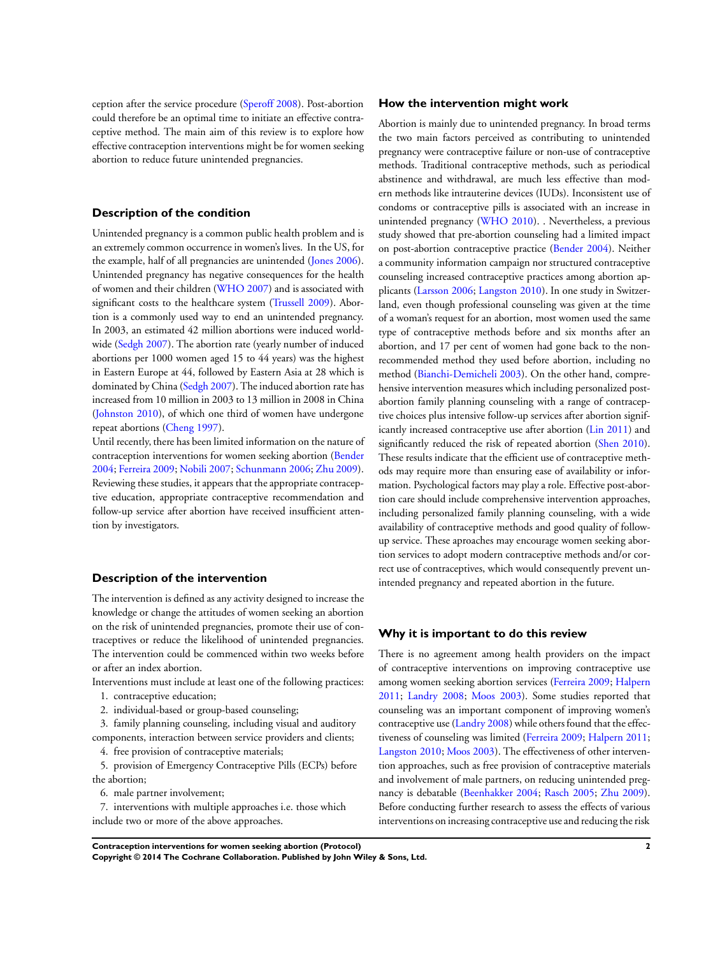ception after the service procedure [\(Speroff 2008](#page-6-0)). Post-abortion could therefore be an optimal time to initiate an effective contraceptive method. The main aim of this review is to explore how effective contraception interventions might be for women seeking abortion to reduce future unintended pregnancies.

### **Description of the condition**

Unintended pregnancy is a common public health problem and is an extremely common occurrence in women's lives. In the US, for the example, half of all pregnancies are unintended [\(Jones 2006](#page-6-0)). Unintended pregnancy has negative consequences for the health of women and their children [\(WHO 2007](#page-6-0)) and is associated with significant costs to the healthcare system ([Trussell 2009\)](#page-6-0). Abortion is a commonly used way to end an unintended pregnancy. In 2003, an estimated 42 million abortions were induced worldwide ([Sedgh 2007\)](#page-6-0). The abortion rate (yearly number of induced abortions per 1000 women aged 15 to 44 years) was the highest in Eastern Europe at 44, followed by Eastern Asia at 28 which is dominated by China [\(Sedgh 2007](#page-6-0)). The induced abortion rate has increased from 10 million in 2003 to 13 million in 2008 in China [\(Johnston 2010](#page-6-0)), of which one third of women have undergone repeat abortions [\(Cheng 1997\)](#page-6-0).

Until recently, there has been limited information on the nature of contraception interventions for women seeking abortion [\(Bender](#page-6-0) [2004](#page-6-0); [Ferreira 2009;](#page-6-0) [Nobili 2007](#page-6-0); [Schunmann 2006](#page-6-0); [Zhu 2009](#page-6-0)). Reviewing these studies, it appears that the appropriate contraceptive education, appropriate contraceptive recommendation and follow-up service after abortion have received insufficient attention by investigators.

### **Description of the intervention**

The intervention is defined as any activity designed to increase the knowledge or change the attitudes of women seeking an abortion on the risk of unintended pregnancies, promote their use of contraceptives or reduce the likelihood of unintended pregnancies. The intervention could be commenced within two weeks before or after an index abortion.

Interventions must include at least one of the following practices:

- 1. contraceptive education;
- 2. individual-based or group-based counseling;

3. family planning counseling, including visual and auditory components, interaction between service providers and clients; 4. free provision of contraceptive materials;

5. provision of Emergency Contraceptive Pills (ECPs) before the abortion;

6. male partner involvement;

7. interventions with multiple approaches i.e. those which include two or more of the above approaches.

### **How the intervention might work**

Abortion is mainly due to unintended pregnancy. In broad terms the two main factors perceived as contributing to unintended pregnancy were contraceptive failure or non-use of contraceptive methods. Traditional contraceptive methods, such as periodical abstinence and withdrawal, are much less effective than modern methods like intrauterine devices (IUDs). Inconsistent use of condoms or contraceptive pills is associated with an increase in unintended pregnancy [\(WHO 2010](#page-6-0)). . Nevertheless, a previous study showed that pre-abortion counseling had a limited impact on post-abortion contraceptive practice ([Bender 2004\)](#page-6-0). Neither a community information campaign nor structured contraceptive counseling increased contraceptive practices among abortion applicants ([Larsson 2006;](#page-6-0) [Langston 2010](#page-6-0)). In one study in Switzerland, even though professional counseling was given at the time of a woman's request for an abortion, most women used the same type of contraceptive methods before and six months after an abortion, and 17 per cent of women had gone back to the nonrecommended method they used before abortion, including no method [\(Bianchi-Demicheli 2003](#page-6-0)). On the other hand, comprehensive intervention measures which including personalized postabortion family planning counseling with a range of contraceptive choices plus intensive follow-up services after abortion significantly increased contraceptive use after abortion ([Lin 2011](#page-6-0)) and significantly reduced the risk of repeated abortion [\(Shen 2010](#page-6-0)). These results indicate that the efficient use of contraceptive methods may require more than ensuring ease of availability or information. Psychological factors may play a role. Effective post-abortion care should include comprehensive intervention approaches, including personalized family planning counseling, with a wide availability of contraceptive methods and good quality of followup service. These aproaches may encourage women seeking abortion services to adopt modern contraceptive methods and/or correct use of contraceptives, which would consequently prevent unintended pregnancy and repeated abortion in the future.

### **Why it is important to do this review**

There is no agreement among health providers on the impact of contraceptive interventions on improving contraceptive use among women seeking abortion services [\(Ferreira 2009;](#page-6-0) [Halpern](#page-6-0) [2011](#page-6-0); [Landry 2008](#page-6-0); [Moos 2003\)](#page-6-0). Some studies reported that counseling was an important component of improving women's contraceptive use ([Landry 2008](#page-6-0)) while others found that the effectiveness of counseling was limited [\(Ferreira 2009](#page-6-0); [Halpern 2011;](#page-6-0) [Langston 2010](#page-6-0); [Moos 2003](#page-6-0)). The effectiveness of other intervention approaches, such as free provision of contraceptive materials and involvement of male partners, on reducing unintended pregnancy is debatable ([Beenhakker 2004](#page-6-0); [Rasch 2005](#page-6-0); [Zhu 2009](#page-6-0)). Before conducting further research to assess the effects of various interventions on increasing contraceptive use and reducing the risk

**Contraception interventions for women seeking abortion (Protocol) 2 Copyright © 2014 The Cochrane Collaboration. Published by John Wiley & Sons, Ltd.**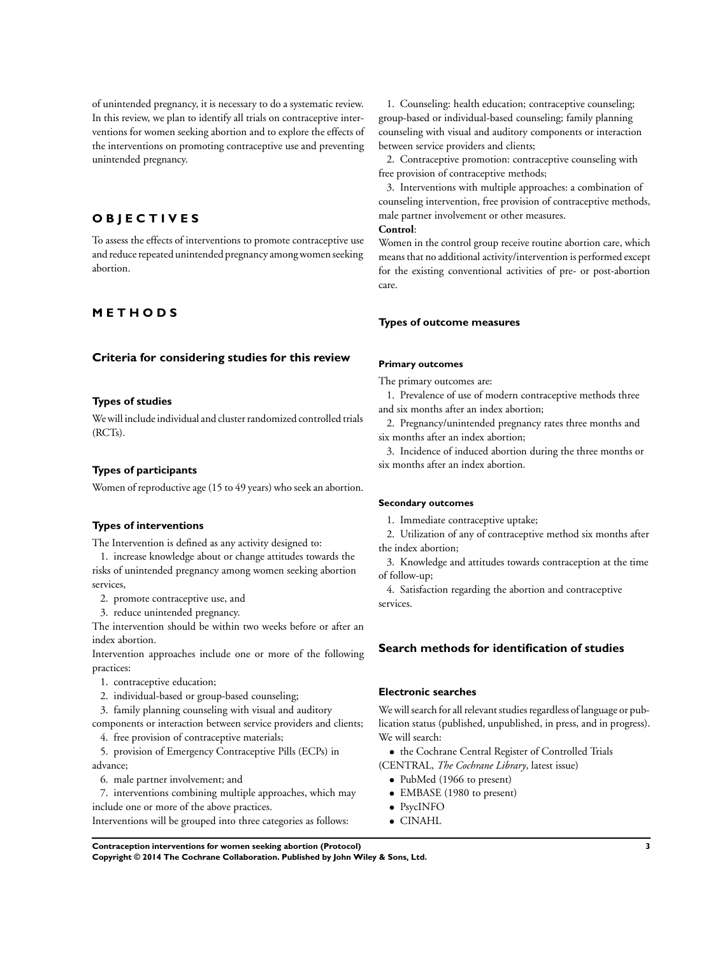of unintended pregnancy, it is necessary to do a systematic review. In this review, we plan to identify all trials on contraceptive interventions for women seeking abortion and to explore the effects of the interventions on promoting contraceptive use and preventing unintended pregnancy.

# **O B J E C T I V E S**

To assess the effects of interventions to promote contraceptive use and reduce repeated unintended pregnancy among women seeking abortion.

# **M E T H O D S**

### **Criteria for considering studies for this review**

### **Types of studies**

We will include individual and cluster randomized controlled trials (RCTs).

### **Types of participants**

Women of reproductive age (15 to 49 years) who seek an abortion.

### **Types of interventions**

The Intervention is defined as any activity designed to:

- 1. increase knowledge about or change attitudes towards the risks of unintended pregnancy among women seeking abortion services,
- 2. promote contraceptive use, and
- 3. reduce unintended pregnancy.

The intervention should be within two weeks before or after an index abortion.

Intervention approaches include one or more of the following practices:

- 1. contraceptive education;
- 2. individual-based or group-based counseling;
- 3. family planning counseling with visual and auditory

components or interaction between service providers and clients;

4. free provision of contraceptive materials;

5. provision of Emergency Contraceptive Pills (ECPs) in advance;

- 6. male partner involvement; and
- 7. interventions combining multiple approaches, which may include one or more of the above practices.

Interventions will be grouped into three categories as follows:

1. Counseling: health education; contraceptive counseling; group-based or individual-based counseling; family planning counseling with visual and auditory components or interaction between service providers and clients;

2. Contraceptive promotion: contraceptive counseling with free provision of contraceptive methods;

3. Interventions with multiple approaches: a combination of counseling intervention, free provision of contraceptive methods, male partner involvement or other measures.

# **Control**:

Women in the control group receive routine abortion care, which means that no additional activity/intervention is performed except for the existing conventional activities of pre- or post-abortion care.

### **Types of outcome measures**

### **Primary outcomes**

The primary outcomes are:

1. Prevalence of use of modern contraceptive methods three and six months after an index abortion;

2. Pregnancy/unintended pregnancy rates three months and six months after an index abortion;

3. Incidence of induced abortion during the three months or six months after an index abortion.

#### **Secondary outcomes**

1. Immediate contraceptive uptake;

2. Utilization of any of contraceptive method six months after the index abortion;

3. Knowledge and attitudes towards contraception at the time of follow-up;

4. Satisfaction regarding the abortion and contraceptive services.

### **Search methods for identification of studies**

### **Electronic searches**

We will search for all relevant studies regardless of language or publication status (published, unpublished, in press, and in progress). We will search:

• the Cochrane Central Register of Controlled Trials

(CENTRAL, *The Cochrane Library*, latest issue)

- PubMed (1966 to present)
- EMBASE (1980 to present)
- PsycINFO
- CINAHL

**Contraception interventions for women seeking abortion (Protocol) 3**

**Copyright © 2014 The Cochrane Collaboration. Published by John Wiley & Sons, Ltd.**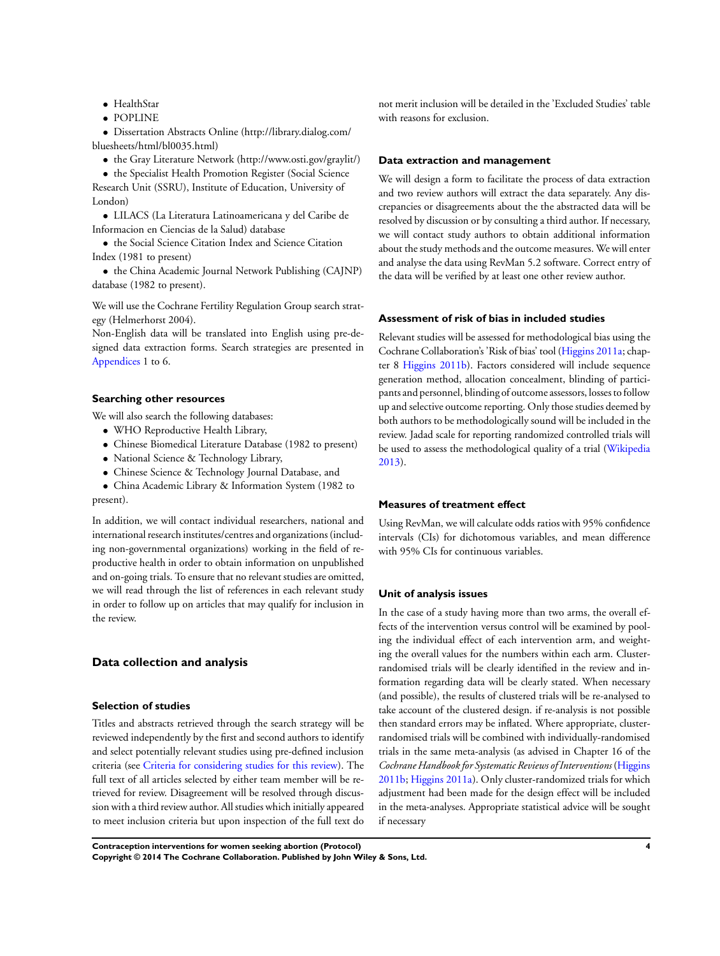- HealthStar
- POPLINE

• Dissertation Abstracts Online (http://library.dialog.com/ bluesheets/html/bl0035.html)

• the Gray Literature Network (http://www.osti.gov/graylit/)

• the Specialist Health Promotion Register (Social Science Research Unit (SSRU), Institute of Education, University of London)

• LILACS (La Literatura Latinoamericana y del Caribe de Informacion en Ciencias de la Salud) database

• the Social Science Citation Index and Science Citation Index (1981 to present)

• the China Academic Journal Network Publishing (CAJNP) database (1982 to present).

We will use the Cochrane Fertility Regulation Group search strategy (Helmerhorst 2004).

Non-English data will be translated into English using pre-designed data extraction forms. Search strategies are presented in [Appendices](#page-8-0) 1 to 6.

### **Searching other resources**

We will also search the following databases:

- WHO Reproductive Health Library,
- Chinese Biomedical Literature Database (1982 to present)
- National Science & Technology Library,
- Chinese Science & Technology Journal Database, and
- China Academic Library & Information System (1982 to present).

In addition, we will contact individual researchers, national and international research institutes/centres and organizations (including non-governmental organizations) working in the field of reproductive health in order to obtain information on unpublished and on-going trials. To ensure that no relevant studies are omitted, we will read through the list of references in each relevant study in order to follow up on articles that may qualify for inclusion in the review.

### **Data collection and analysis**

# **Selection of studies**

Titles and abstracts retrieved through the search strategy will be reviewed independently by the first and second authors to identify and select potentially relevant studies using pre-defined inclusion criteria (see [Criteria for considering studies for this review](#page-2-0)). The full text of all articles selected by either team member will be retrieved for review. Disagreement will be resolved through discussion with a third review author. All studies which initially appeared to meet inclusion criteria but upon inspection of the full text do

not merit inclusion will be detailed in the 'Excluded Studies' table with reasons for exclusion.

### **Data extraction and management**

We will design a form to facilitate the process of data extraction and two review authors will extract the data separately. Any discrepancies or disagreements about the the abstracted data will be resolved by discussion or by consulting a third author. If necessary, we will contact study authors to obtain additional information about the study methods and the outcome measures. We will enter and analyse the data using RevMan 5.2 software. Correct entry of the data will be verified by at least one other review author.

### **Assessment of risk of bias in included studies**

Relevant studies will be assessed for methodological bias using the Cochrane Collaboration's 'Risk of bias' tool ([Higgins 2011a](#page-6-0); chapter 8 [Higgins 2011b](#page-6-0)). Factors considered will include sequence generation method, allocation concealment, blinding of participants and personnel, blinding of outcome assessors, losses to follow up and selective outcome reporting. Only those studies deemed by both authors to be methodologically sound will be included in the review. Jadad scale for reporting randomized controlled trials will be used to assess the methodological quality of a trial [\(Wikipedia](#page-6-0) [2013](#page-6-0)).

#### **Measures of treatment effect**

Using RevMan, we will calculate odds ratios with 95% confidence intervals (CIs) for dichotomous variables, and mean difference with 95% CIs for continuous variables.

### **Unit of analysis issues**

In the case of a study having more than two arms, the overall effects of the intervention versus control will be examined by pooling the individual effect of each intervention arm, and weighting the overall values for the numbers within each arm. Clusterrandomised trials will be clearly identified in the review and information regarding data will be clearly stated. When necessary (and possible), the results of clustered trials will be re-analysed to take account of the clustered design. if re-analysis is not possible then standard errors may be inflated. Where appropriate, clusterrandomised trials will be combined with individually-randomised trials in the same meta-analysis (as advised in Chapter 16 of the *Cochrane Handbook for Systematic Reviews of Interventions* ([Higgins](#page-6-0) [2011b;](#page-6-0) [Higgins 2011a\)](#page-6-0). Only cluster-randomized trials for which adjustment had been made for the design effect will be included in the meta-analyses. Appropriate statistical advice will be sought if necessary

**Contraception interventions for women seeking abortion (Protocol) 4 Copyright © 2014 The Cochrane Collaboration. Published by John Wiley & Sons, Ltd.**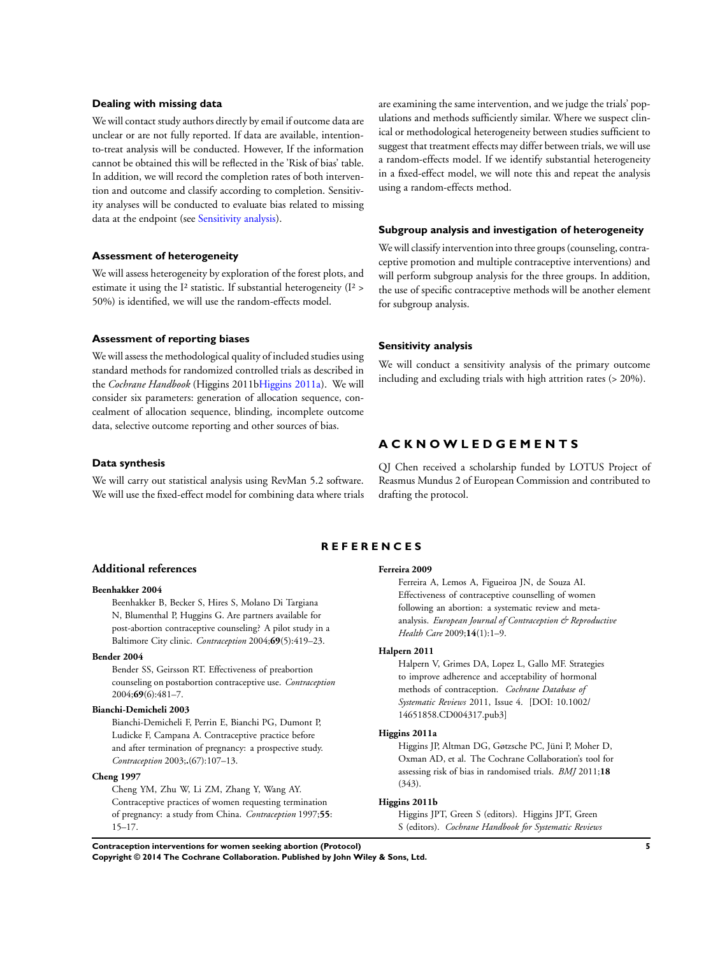### <span id="page-6-0"></span>**Dealing with missing data**

We will contact study authors directly by email if outcome data are unclear or are not fully reported. If data are available, intentionto-treat analysis will be conducted. However, If the information cannot be obtained this will be reflected in the 'Risk of bias' table. In addition, we will record the completion rates of both intervention and outcome and classify according to completion. Sensitivity analyses will be conducted to evaluate bias related to missing data at the endpoint (see [Sensitivity analysis](#page-2-0)).

#### **Assessment of heterogeneity**

We will assess heterogeneity by exploration of the forest plots, and estimate it using the  $I<sup>2</sup>$  statistic. If substantial heterogeneity ( $I<sup>2</sup>$ ) 50%) is identified, we will use the random-effects model.

### **Assessment of reporting biases**

We will assess the methodological quality of included studies using standard methods for randomized controlled trials as described in the *Cochrane Handbook* (Higgins 2011bHiggins 2011a). We will consider six parameters: generation of allocation sequence, concealment of allocation sequence, blinding, incomplete outcome data, selective outcome reporting and other sources of bias.

#### **Data synthesis**

We will carry out statistical analysis using RevMan 5.2 software. We will use the fixed-effect model for combining data where trials

# **Additional references**

#### **Beenhakker 2004**

Beenhakker B, Becker S, Hires S, Molano Di Targiana N, Blumenthal P, Huggins G. Are partners available for post-abortion contraceptive counseling? A pilot study in a Baltimore City clinic. *Contraception* 2004;**69**(5):419–23.

#### **Bender 2004**

Bender SS, Geirsson RT. Effectiveness of preabortion counseling on postabortion contraceptive use. *Contraception* 2004;**69**(6):481–7.

### **Bianchi-Demicheli 2003**

Bianchi-Demicheli F, Perrin E, Bianchi PG, Dumont P, Ludicke F, Campana A. Contraceptive practice before and after termination of pregnancy: a prospective study. *Contraception* 2003;**.**(67):107–13.

# **Cheng 1997**

Cheng YM, Zhu W, Li ZM, Zhang Y, Wang AY. Contraceptive practices of women requesting termination of pregnancy: a study from China. *Contraception* 1997;**55**: 15–17.

are examining the same intervention, and we judge the trials' populations and methods sufficiently similar. Where we suspect clinical or methodological heterogeneity between studies sufficient to suggest that treatment effects may differ between trials, we will use a random-effects model. If we identify substantial heterogeneity in a fixed-effect model, we will note this and repeat the analysis using a random-effects method.

### **Subgroup analysis and investigation of heterogeneity**

We will classify intervention into three groups (counseling, contraceptive promotion and multiple contraceptive interventions) and will perform subgroup analysis for the three groups. In addition, the use of specific contraceptive methods will be another element for subgroup analysis.

#### **Sensitivity analysis**

We will conduct a sensitivity analysis of the primary outcome including and excluding trials with high attrition rates (> 20%).

# **A C K N O W L E D G E M E N T S**

QJ Chen received a scholarship funded by LOTUS Project of Reasmus Mundus 2 of European Commission and contributed to drafting the protocol.

# **R E F E R E N C E S**

#### **Ferreira 2009**

Ferreira A, Lemos A, Figueiroa JN, de Souza AI. Effectiveness of contraceptive counselling of women following an abortion: a systematic review and metaanalysis. *European Journal of Contraception & Reproductive Health Care* 2009;**14**(1):1–9.

### **Halpern 2011**

Halpern V, Grimes DA, Lopez L, Gallo MF. Strategies to improve adherence and acceptability of hormonal methods of contraception. *Cochrane Database of Systematic Reviews* 2011, Issue 4. [DOI: 10.1002/ 14651858.CD004317.pub3]

### **Higgins 2011a**

Higgins JP, Altman DG, Gøtzsche PC, Jüni P, Moher D, Oxman AD, et al. The Cochrane Collaboration's tool for assessing risk of bias in randomised trials. *BMJ* 2011;**18** (343).

#### **Higgins 2011b**

Higgins JPT, Green S (editors). Higgins JPT, Green S (editors). *Cochrane Handbook for Systematic Reviews*

**Contraception interventions for women seeking abortion (Protocol) 5**

**Copyright © 2014 The Cochrane Collaboration. Published by John Wiley & Sons, Ltd.**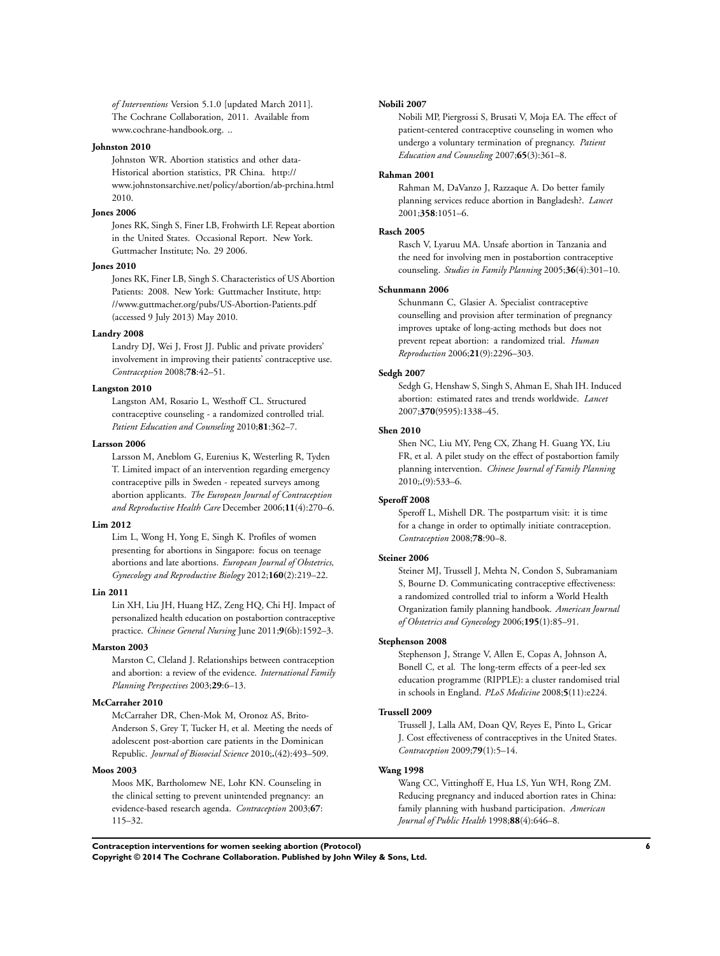*of Interventions* Version 5.1.0 [updated March 2011]. The Cochrane Collaboration, 2011. Available from www.cochrane-handbook.org. ..

### **Johnston 2010**

Johnston WR. Abortion statistics and other data-Historical abortion statistics, PR China. http:// www.johnstonsarchive.net/policy/abortion/ab-prchina.html 2010.

### **Jones 2006**

Jones RK, Singh S, Finer LB, Frohwirth LF. Repeat abortion in the United States. Occasional Report. New York. Guttmacher Institute; No. 29 2006.

# **Jones 2010**

Jones RK, Finer LB, Singh S. Characteristics of US Abortion Patients: 2008. New York: Guttmacher Institute, http: //www.guttmacher.org/pubs/US-Abortion-Patients.pdf (accessed 9 July 2013) May 2010.

#### **Landry 2008**

Landry DJ, Wei J, Frost JJ. Public and private providers' involvement in improving their patients' contraceptive use. *Contraception* 2008;**78**:42–51.

### **Langston 2010**

Langston AM, Rosario L, Westhoff CL. Structured contraceptive counseling - a randomized controlled trial. *Patient Education and Counseling* 2010;**81**:362–7.

#### **Larsson 2006**

Larsson M, Aneblom G, Eurenius K, Westerling R, Tyden T. Limited impact of an intervention regarding emergency contraceptive pills in Sweden - repeated surveys among abortion applicants. *The European Journal of Contraception and Reproductive Health Care* December 2006;**11**(4):270–6.

#### **Lim 2012**

Lim L, Wong H, Yong E, Singh K. Profiles of women presenting for abortions in Singapore: focus on teenage abortions and late abortions. *European Journal of Obstetrics, Gynecology and Reproductive Biology* 2012;**160**(2):219–22.

### **Lin 2011**

Lin XH, Liu JH, Huang HZ, Zeng HQ, Chi HJ. Impact of personalized health education on postabortion contraceptive practice. *Chinese General Nursing* June 2011;**9**(6b):1592–3.

#### **Marston 2003**

Marston C, Cleland J. Relationships between contraception and abortion: a review of the evidence. *International Family Planning Perspectives* 2003;**29**:6–13.

### **McCarraher 2010**

McCarraher DR, Chen-Mok M, Oronoz AS, Brito-Anderson S, Grey T, Tucker H, et al. Meeting the needs of adolescent post-abortion care patients in the Dominican Republic. *Journal of Biosocial Science* 2010;**.**(42):493–509.

# **Moos 2003**

Moos MK, Bartholomew NE, Lohr KN. Counseling in the clinical setting to prevent unintended pregnancy: an evidence-based research agenda. *Contraception* 2003;**67**: 115–32.

#### **Nobili 2007**

Nobili MP, Piergrossi S, Brusati V, Moja EA. The effect of patient-centered contraceptive counseling in women who undergo a voluntary termination of pregnancy. *Patient Education and Counseling* 2007;**65**(3):361–8.

#### **Rahman 2001**

Rahman M, DaVanzo J, Razzaque A. Do better family planning services reduce abortion in Bangladesh?. *Lancet* 2001;**358**:1051–6.

#### **Rasch 2005**

Rasch V, Lyaruu MA. Unsafe abortion in Tanzania and the need for involving men in postabortion contraceptive counseling. *Studies in Family Planning* 2005;**36**(4):301–10.

#### **Schunmann 2006**

Schunmann C, Glasier A. Specialist contraceptive counselling and provision after termination of pregnancy improves uptake of long-acting methods but does not prevent repeat abortion: a randomized trial. *Human Reproduction* 2006;**21**(9):2296–303.

### **Sedgh 2007**

Sedgh G, Henshaw S, Singh S, Ahman E, Shah IH. Induced abortion: estimated rates and trends worldwide. *Lancet* 2007;**370**(9595):1338–45.

### **Shen 2010**

Shen NC, Liu MY, Peng CX, Zhang H. Guang YX, Liu FR, et al. A pilet study on the effect of postabortion family planning intervention. *Chinese Journal of Family Planning* 2010;**.**(9):533–6.

### **Speroff 2008**

Speroff L, Mishell DR. The postpartum visit: it is time for a change in order to optimally initiate contraception. *Contraception* 2008;**78**:90–8.

### **Steiner 2006**

Steiner MJ, Trussell J, Mehta N, Condon S, Subramaniam S, Bourne D. Communicating contraceptive effectiveness: a randomized controlled trial to inform a World Health Organization family planning handbook. *American Journal of Obstetrics and Gynecology* 2006;**195**(1):85–91.

#### **Stephenson 2008**

Stephenson J, Strange V, Allen E, Copas A, Johnson A, Bonell C, et al. The long-term effects of a peer-led sex education programme (RIPPLE): a cluster randomised trial in schools in England. *PLoS Medicine* 2008;**5**(11):e224.

#### **Trussell 2009**

Trussell J, Lalla AM, Doan QV, Reyes E, Pinto L, Gricar J. Cost effectiveness of contraceptives in the United States. *Contraception* 2009;**79**(1):5–14.

### **Wang 1998**

Wang CC, Vittinghoff E, Hua LS, Yun WH, Rong ZM. Reducing pregnancy and induced abortion rates in China: family planning with husband participation. *American Journal of Public Health* 1998;**88**(4):646–8.

**Contraception interventions for women seeking abortion (Protocol) 6**

**Copyright © 2014 The Cochrane Collaboration. Published by John Wiley & Sons, Ltd.**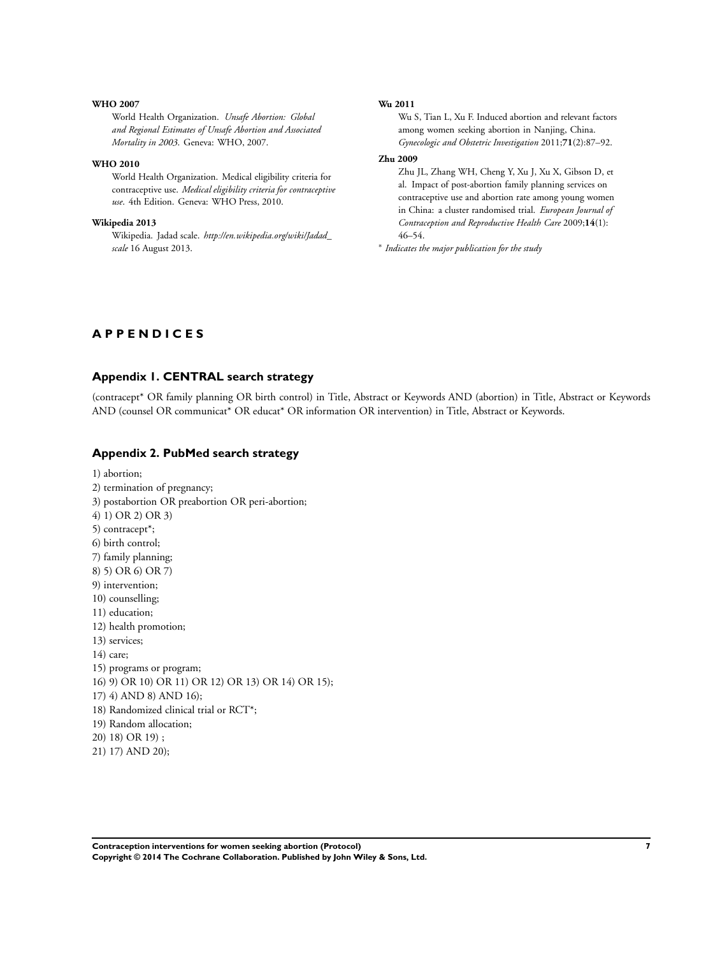#### <span id="page-8-0"></span>**WHO 2007**

World Health Organization. *Unsafe Abortion: Global and Regional Estimates of Unsafe Abortion and Associated Mortality in 2003*. Geneva: WHO, 2007.

### **WHO 2010**

World Health Organization. Medical eligibility criteria for contraceptive use. *Medical eligibility criteria for contraceptive use*. 4th Edition. Geneva: WHO Press, 2010.

#### **Wikipedia 2013**

Wikipedia. Jadad scale. *http://en.wikipedia.org/wiki/Jadad\_ scale* 16 August 2013.

#### **Wu 2011**

Wu S, Tian L, Xu F. Induced abortion and relevant factors among women seeking abortion in Nanjing, China. *Gynecologic and Obstetric Investigation* 2011;**71**(2):87–92.

### **Zhu 2009**

Zhu JL, Zhang WH, Cheng Y, Xu J, Xu X, Gibson D, et al. Impact of post-abortion family planning services on contraceptive use and abortion rate among young women in China: a cluster randomised trial. *European Journal of Contraception and Reproductive Health Care* 2009;**14**(1): 46–54.

∗ *Indicates the major publication for the study*

# **A P P E N D I C E S**

# **Appendix 1. CENTRAL search strategy**

(contracept\* OR family planning OR birth control) in Title, Abstract or Keywords AND (abortion) in Title, Abstract or Keywords AND (counsel OR communicat\* OR educat\* OR information OR intervention) in Title, Abstract or Keywords.

# **Appendix 2. PubMed search strategy**

1) abortion; 2) termination of pregnancy; 3) postabortion OR preabortion OR peri-abortion; 4) 1) OR 2) OR 3) 5) contracept\*; 6) birth control; 7) family planning; 8) 5) OR 6) OR 7) 9) intervention; 10) counselling; 11) education; 12) health promotion; 13) services; 14) care; 15) programs or program; 16) 9) OR 10) OR 11) OR 12) OR 13) OR 14) OR 15); 17) 4) AND 8) AND 16); 18) Randomized clinical trial or RCT\*; 19) Random allocation; 20) 18) OR 19) ; 21) 17) AND 20);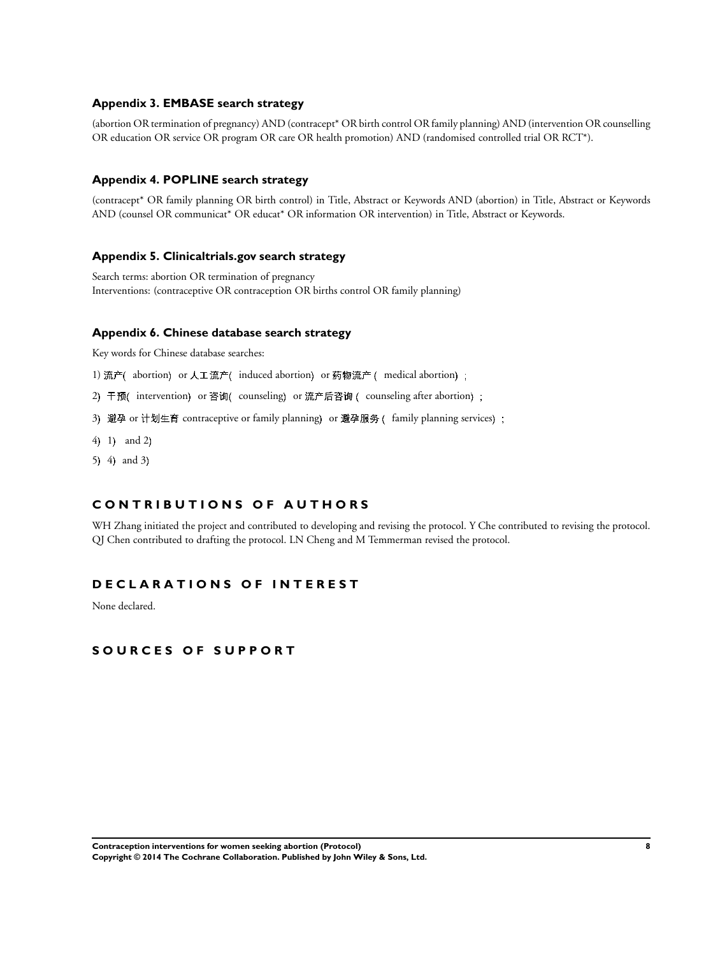### **Appendix 3. EMBASE search strategy**

(abortion OR termination of pregnancy) AND (contracept\* OR birth control OR family planning) AND (intervention OR counselling OR education OR service OR program OR care OR health promotion) AND (randomised controlled trial OR RCT\*).

### **Appendix 4. POPLINE search strategy**

(contracept\* OR family planning OR birth control) in Title, Abstract or Keywords AND (abortion) in Title, Abstract or Keywords AND (counsel OR communicat\* OR educat\* OR information OR intervention) in Title, Abstract or Keywords.

### **Appendix 5. Clinicaltrials.gov search strategy**

Search terms: abortion OR termination of pregnancy Interventions: (contraceptive OR contraception OR births control OR family planning)

### **Appendix 6. Chinese database search strategy**

Key words for Chinese database searches:

1) 流产(abortion) or 人工流产(induced abortion) or 药物流产(medical abortion);

2) 干预( intervention) or 咨询( counseling) or 流产后咨询 ( counseling after abortion)

3) 避孕 or 计划生育 contraceptive or family planning) or 避孕服务 (family planning services);

- 4) 1) and 2)
- 5) 4) and 3)

# **C O N T R I B U T I O N S O F A U T H O R S**

WH Zhang initiated the project and contributed to developing and revising the protocol. Y Che contributed to revising the protocol. QJ Chen contributed to drafting the protocol. LN Cheng and M Temmerman revised the protocol.

# **D E C L A R A T I O N S O F I N T E R E S T**

None declared.

# **S O U R C E S O F S U P P O R T**